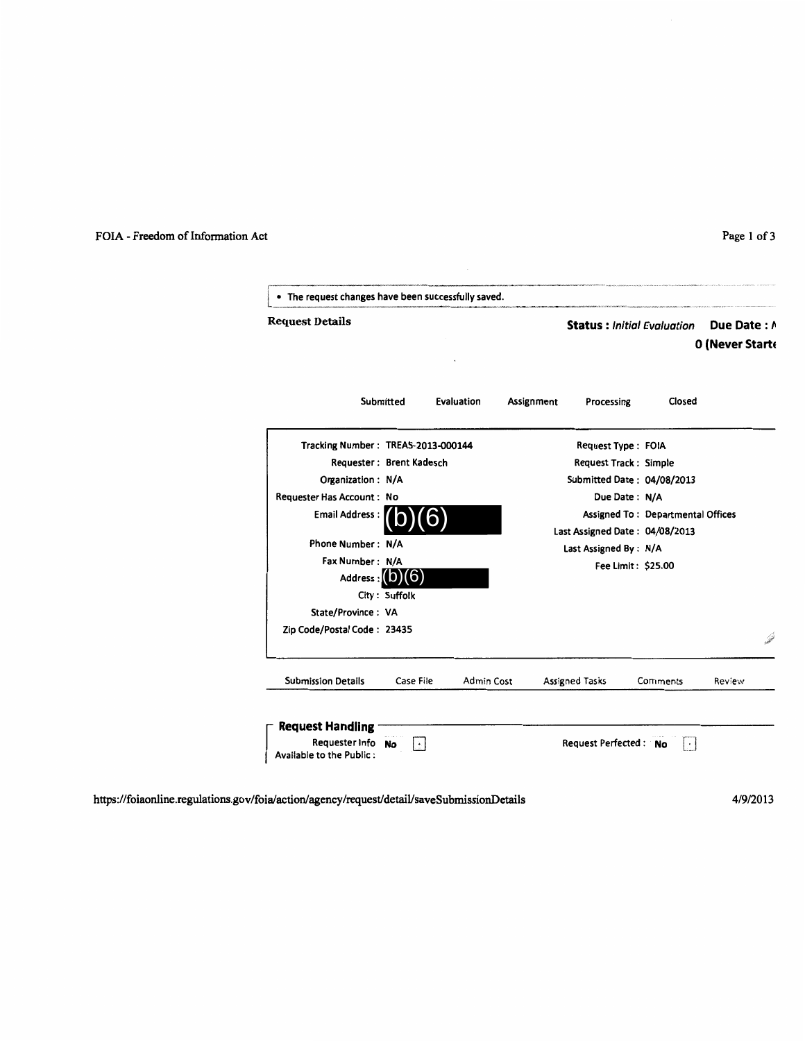## FOIA - Freedom of Information Act

| Page 1 of |  |  |  |
|-----------|--|--|--|
|-----------|--|--|--|

| Assignment<br>Processing<br>Request Type: FOIA | Closed                |                                                                                                    |                                                                                                   |
|------------------------------------------------|-----------------------|----------------------------------------------------------------------------------------------------|---------------------------------------------------------------------------------------------------|
|                                                |                       |                                                                                                    |                                                                                                   |
|                                                |                       |                                                                                                    |                                                                                                   |
| <b>Request Track: Simple</b>                   |                       |                                                                                                    |                                                                                                   |
|                                                |                       |                                                                                                    |                                                                                                   |
|                                                |                       |                                                                                                    |                                                                                                   |
|                                                |                       |                                                                                                    |                                                                                                   |
|                                                |                       |                                                                                                    |                                                                                                   |
|                                                |                       |                                                                                                    |                                                                                                   |
|                                                |                       |                                                                                                    |                                                                                                   |
|                                                |                       |                                                                                                    |                                                                                                   |
|                                                |                       |                                                                                                    |                                                                                                   |
|                                                |                       |                                                                                                    |                                                                                                   |
|                                                | Comments              | Review                                                                                             |                                                                                                   |
|                                                | <b>Assigned Tasks</b> | Due Date: N/A<br>Last Assigned By: N/A<br>Fee Limit: \$25.00<br>Request Perfected: No<br>$\cdot$ 1 | Submitted Date: 04/08/2013<br>Assigned To: Departmental Offices<br>Last Assigned Date: 04/08/2013 |

https://foiaonline.regulations.gov/foia/action/agency/request/detail/saveSubmissionDetails

4/9/2013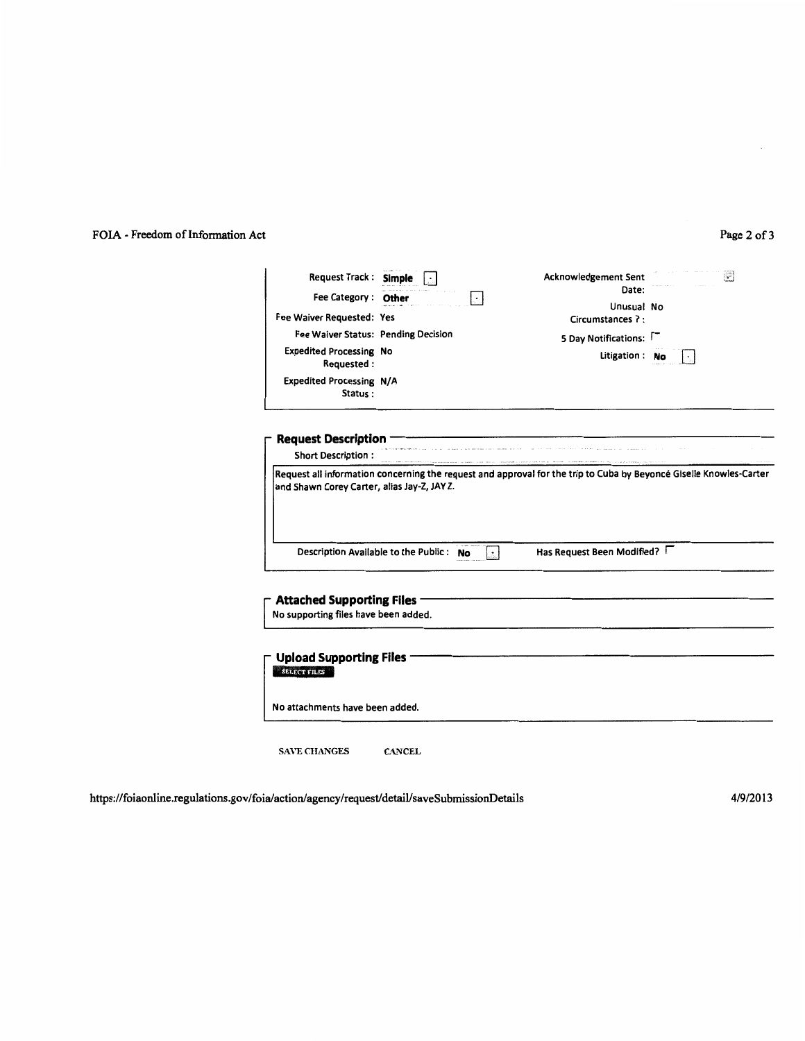## FOIA- Freedom of Information Act

#### Page 2 of 3

| Request Track: Simple<br>Fee Category: Other<br>Fee Waiver Requested: Yes<br>Fee Waiver Status: Pending Decision<br><b>Expedited Processing No</b><br>Requested:<br>Expedited Processing N/A<br>Status: | $\cdot$                                 | Acknowledgement Sent<br>Date:<br>Unusual No<br>Circumstances ?:<br>5 Day Notifications:<br>Litigation : No | P |
|---------------------------------------------------------------------------------------------------------------------------------------------------------------------------------------------------------|-----------------------------------------|------------------------------------------------------------------------------------------------------------|---|
| <b>Request Description</b><br><b>Short Description:</b>                                                                                                                                                 |                                         |                                                                                                            |   |
| and Shawn Corey Carter, alias Jay-Z, JAY Z.                                                                                                                                                             | Description Available to the Public: No | Has Request Been Modified?                                                                                 |   |
| <b>Attached Supporting Files</b><br>No supporting files have been added.                                                                                                                                |                                         |                                                                                                            |   |
| <b>Upload Supporting Files</b><br><b>SELECT FILES</b>                                                                                                                                                   |                                         |                                                                                                            |   |
| No attachments have been added.                                                                                                                                                                         |                                         |                                                                                                            |   |
| <b>SAVE CHANGES</b>                                                                                                                                                                                     | <b>CANCEL</b>                           |                                                                                                            |   |

https://foiaonline.regulations.gov/foia/action/agency/request/detaiVsaveSubmissionDetails

4/9/2013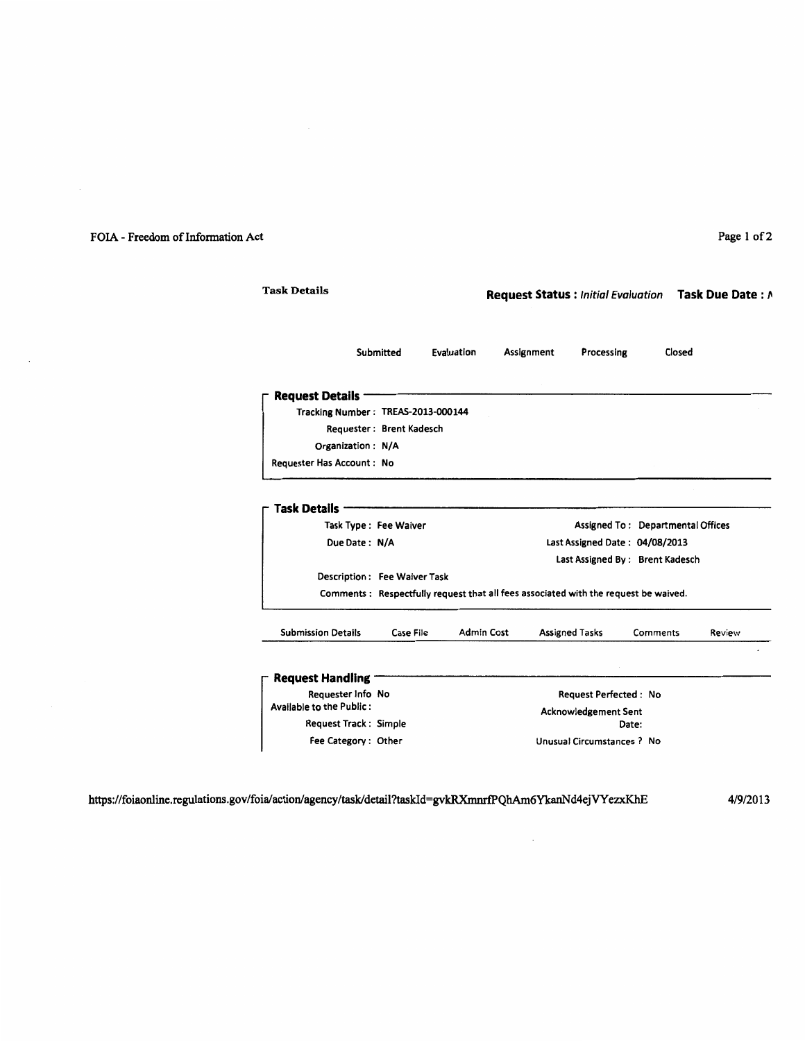## FOIA - Freedom of Information Act Page 1 of 2

 $\sim$ 

| <b>Task Details</b>                |                              | Request Status : Initial Evaluation Task Due Date : A |                                                                                                        |                                                                                     |          |        |
|------------------------------------|------------------------------|-------------------------------------------------------|--------------------------------------------------------------------------------------------------------|-------------------------------------------------------------------------------------|----------|--------|
|                                    | Submitted                    | Evaluation                                            | Assignment                                                                                             | Processing                                                                          | Closed   |        |
| <b>Request Details ·</b>           |                              |                                                       |                                                                                                        |                                                                                     |          |        |
| Tracking Number: TREAS-2013-000144 |                              |                                                       |                                                                                                        |                                                                                     |          |        |
|                                    | Requester: Brent Kadesch     |                                                       |                                                                                                        |                                                                                     |          |        |
| Organization: N/A                  |                              |                                                       |                                                                                                        |                                                                                     |          |        |
| Requester Has Account: No          |                              |                                                       |                                                                                                        |                                                                                     |          |        |
| Due Date: N/A                      |                              |                                                       | Assigned To: Departmental Offices<br>Last Assigned Date: 04/08/2013<br>Last Assigned By: Brent Kadesch |                                                                                     |          |        |
|                                    | Description: Fee Waiver Task |                                                       |                                                                                                        |                                                                                     |          |        |
|                                    |                              |                                                       |                                                                                                        | Comments: Respectfully request that all fees associated with the request be waived. |          |        |
| <b>Submission Details</b>          | Case File                    | Admin Cost                                            |                                                                                                        | <b>Assigned Tasks</b>                                                               | Comments | Review |
| <b>Request Handling -</b>          |                              |                                                       |                                                                                                        |                                                                                     |          |        |
| Requester Info No                  |                              |                                                       | <b>Request Perfected: No</b>                                                                           |                                                                                     |          |        |
| Available to the Public:           |                              |                                                       | <b>Acknowledgement Sent</b>                                                                            |                                                                                     |          |        |
| <b>Request Track: Simple</b>       |                              |                                                       | Date:                                                                                                  |                                                                                     |          |        |
| Fee Category: Other                |                              |                                                       |                                                                                                        | Unusual Circumstances ? No                                                          |          |        |

 $\ddot{\phantom{a}}$ 

https://foiaonline.regulations.gov/foia/actionlagency/task/detail?taskld=gvkRXmnrfPQhAm6YkanNd4ejVYezxKhE

4/9/2013